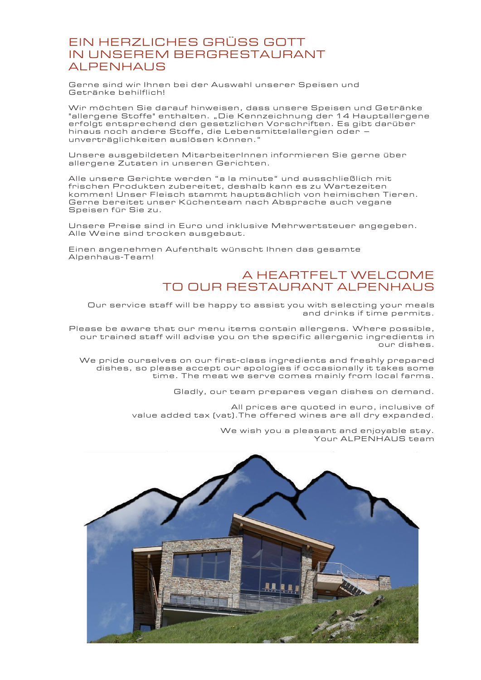#### EIN HERZLICHES GRÜSS GOTT IN UNSEREM BERGRESTAURANT ALPENHAUS

Gerne sind wir Ihnen bei der Auswahl unserer Speisen und Getränke behilflich!

Wir möchten Sie darauf hinweisen, dass unsere Speisen und Getränke "allergene Stoffe" enthalten. "Die Kennzeichnung der 14 Hauptallergene erfolgt entsprechend den gesetzlichen Vorschriften. Es gibt darüber hinaus noch andere Stoffe, die Lebensmittelallergien oder – unverträglichkeiten auslösen können."

Unsere ausgebildeten Mi tarbeiterInnen informieren Sie gerne über allergene Zutaten in unseren Gerichten.

Alle unsere Gerichte werden "a la minute" und ausschließlich mit frischen Produkten zubereitet, deshalb kann es zu Wartezeiten kommen! Unser Fleisch stammt hauptsächlich von heimischen Tieren. Gerne bereitet unser Küchenteam nach Absprache auch vegane Speisen für Sie zu.

Unsere Preise sind in Euro und inklusive Mehrwertsteuer angegeben. Alle Weine sind trocken ausgebaut.

Einen angenehmen Aufenthalt wünscht Ihnen das gesamte Alpenhaus-Team!

#### A HEARTFELT WELCOME TO OUR RESTAURANT ALPENHAUS

Our service staff will be happy to assist you with s electing your meals and drinks if time permits.

Please be aware that our menu items contain allergens. Where possible, our trained staff will advise you on the specific allergenic ingredients in ,<br>our dishes.

We pride ourselves on our first -class ingredients and freshly prepared dishes, so please accept our apologies if occasionally it takes some time. The meat we serve comes mainly from local farms.

Gladly, our team prepares vegan dishes on demand.

All prices are quoted in euro, inclusive of value added tax (vat).The offered wines are all dry expanded.

> We wish you a pleasant and enjoyable stay. Your ALPENHAUS team

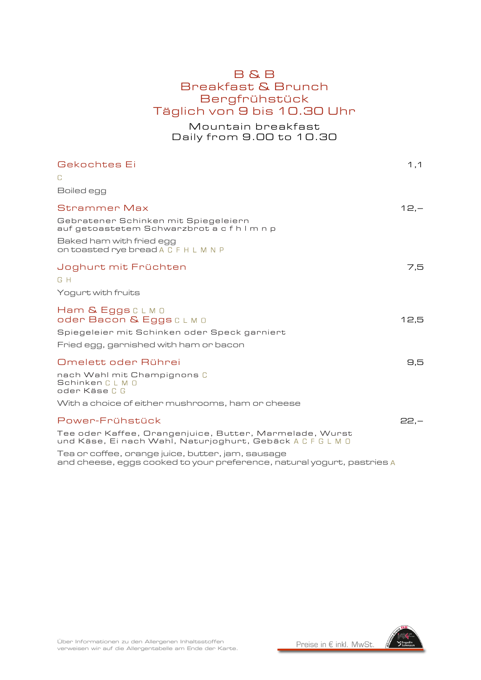### B & B Breakfast & Brunch Bergfrühstück Täglich von 9 bis 10.30 Uhr

Mountain breakfast Daily from 9.00 to 10.30

| Gekochtes Ei                                                                                                          | 1,1    |
|-----------------------------------------------------------------------------------------------------------------------|--------|
| C                                                                                                                     |        |
| Boiled egg                                                                                                            |        |
| <b>Strammer Max</b>                                                                                                   | $12 -$ |
| Gebratener Schinken mit Spiegeleiern<br>auf getoastetem Schwarzbrot a c f h l m n p                                   |        |
| Baked ham with fried egg<br>On toasted rye bread A C F H L M N P                                                      |        |
| Joghurt mit Früchten<br>G H                                                                                           | 7.5    |
| Yogurt with fruits                                                                                                    |        |
| Ham & Eggs CLMO<br>oder Bacon & Eggs CLM 0<br>Spiegeleier mit Schinken oder Speck garniert                            | 12,5   |
| Fried egg, garnished with ham or bacon                                                                                |        |
| Omelett oder Rührei                                                                                                   | 9,5    |
| nach Wahl mit Champignons C<br>Schinken C L M O<br>oder Käse C G                                                      |        |
| With a choice of either mushrooms, ham or cheese                                                                      |        |
| Power-Frühstück                                                                                                       | $22 -$ |
| Tee oder Kaffee, Orangenjuice, Butter, Marmelade, Wurst<br>und Käse, Ei nach Wahl, Naturjoghurt, Gebäck A C F G L M O |        |
| Tea or coffee, orange juice, butter, jam, sausage                                                                     |        |

and cheese, eggs cooked to your preference, natural yogurt, pastries

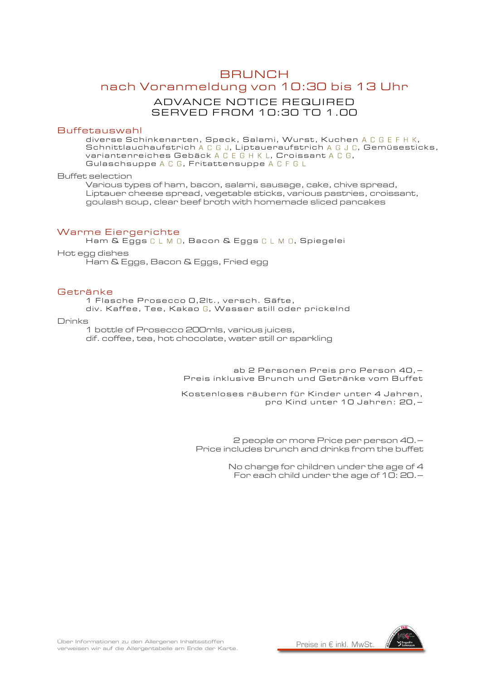### **BRUNCH** nach Voranmeldung von 10:30 bis 13 Uhr ADVANCE NOTICE REQUIRED SERVED FROM 10:30 TO 1.00

#### Buffetauswahl

diverse Schinkenarten, Speck, Salami, Wurst, Kuchen A C G E F H K, Schnittlauchaufstrich  $A \, C \, G$  J, Liptaueraufstrich  $A \, G \, J \, C$ , Gemüsesticks, variantenreiches Gebäck A C E G H K L, Croissant A C G, Gulaschsuppe A C G, Fritattensuppe A C F G L

Buffet selection

Various types of ham, bacon, salami, sausage, cake, chive spread, Liptauer cheese spread, vegetable sticks, various pastries, croissant, goulash soup, clear beef broth with homemade sliced pancakes

#### Warme Eiergerichte

Ham & Eggs C L M O, Bacon & Eggs C L M O, Spiegelei

Hot egg dishes

Ham & Eggs, Bacon & Eggs, Fried egg

#### Getränke

1 Flasche Prosecco 0,2lt., versch. Säfte,

div. Kaffee, Tee, Kakao G, Wasser still oder prickelnd

#### Drinks

1 bottle of Prosecco 200mls, various juices, dif. coffee, tea, hot chocolate, water still or sparkling

> ab 2 Personen Preis pro Person 40, – Preis inklusive Brunch und Getränke vom Buffet

> Kostenloses räubern für Kinder unter 4 Jahren, pro Kind unter 10 Jahren: 20,–

2 people or more Price per person 40.– Price includes brunch and drinks from the buffet

> No charge for children under the age of 4 For each child under the age of 10: 20.–

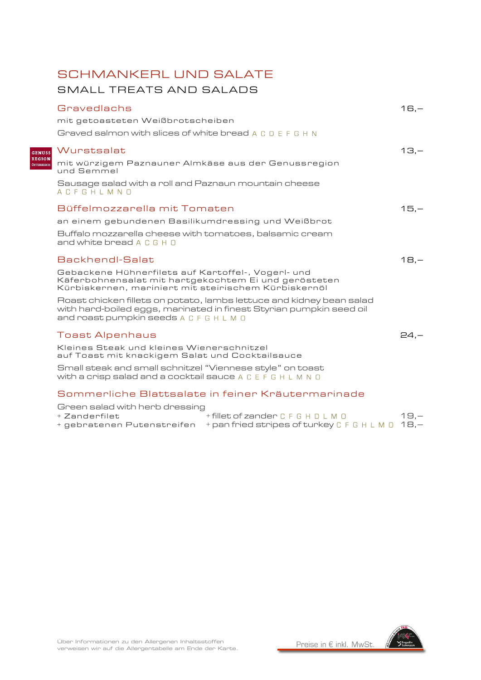# SCHMANKERL UND SALATE

### SMALL TREATS AND SALADS

**GENUSS<br>REGION<br>ÖSTERREICH** 

| Gravedlachs                                                                                                                                                                            | $16,-$ |
|----------------------------------------------------------------------------------------------------------------------------------------------------------------------------------------|--------|
| mit getoasteten Weißbrotscheiben                                                                                                                                                       |        |
| Graved salmon with slices of white bread A C D E F G H N                                                                                                                               |        |
| Wurstsalat                                                                                                                                                                             | $13 -$ |
| mit würzigem Paznauner Almkäse aus der Genussregion<br>und Semmel                                                                                                                      |        |
| Sausage salad with a roll and Paznaun mountain cheese<br>ACFGHLMNO                                                                                                                     |        |
| Büffelmozzarella mit Tomaten                                                                                                                                                           | $15,-$ |
| an einem gebundenen Basilikumdressing und Weißbrot                                                                                                                                     |        |
| Buffalo mozzarella cheese with tomatoes, balsamic cream<br>and white bread A C G H O                                                                                                   |        |
| Backhendl-Salat                                                                                                                                                                        | $18 -$ |
| Gebackene Hühnerfilets auf Kartoffel-, Vogerl- und<br>Käferbohnensalat mit hartgekochtem Ei und gerösteten<br>Kürbiskernen, mariniert mit steirischem Kürbiskernöl                     |        |
| Roast chicken fillets on potato, lambs lettuce and kidney bean salad<br>with hard-boiled eggs, marinated in finest Styrian pumpkin seed oil<br>and roast pumpkin seeds A C F G H L M O |        |
| <b>Toast Alpenhaus</b>                                                                                                                                                                 | $24 -$ |
| Kleines Steak und kleines Wienerschnitzel<br>auf Toast mit knackigem Salat und Cocktailsauce                                                                                           |        |
| Small steak and small schnitzel "Viennese style" on toast<br>With a crisp salad and a cocktail sauce A C E F G H L M N O                                                               |        |
| Sommerliche Blattsalate in feiner Kräutermarinade                                                                                                                                      |        |

| Green salad with herb dressing |                                                                                      |        |
|--------------------------------|--------------------------------------------------------------------------------------|--------|
| + Zanderfilet                  | +fillet of zander C F G H D L M O                                                    | $19 -$ |
|                                | + gebratenen Putenstreifen $+$ pan fried stripes of turkey <code>CFGHLMO 18,–</code> |        |

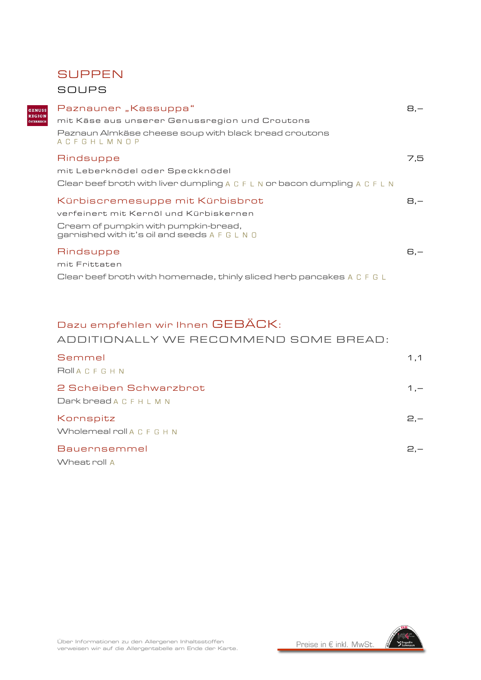### **SUPPEN**

#### SOUPS

GENUS<br>REGION

| Paznauner "Kassuppa"<br>mit Käse aus unserer Genussregion und Croutons                                                                                             | 8.— |
|--------------------------------------------------------------------------------------------------------------------------------------------------------------------|-----|
| Paznaun Almkäse cheese soup with black bread croutons<br>ACFGHLMNOP                                                                                                |     |
| Rindsuppe<br>mit Leberknödel oder Speckknödel<br>Clear beef broth with liver dumpling A C F L N or bacon dumpling A C F L N                                        | 7.5 |
| Kürbiscremesuppe mit Kürbisbrot<br>verfeinert mit Kernöl und Kürbiskernen<br>Cream of pumpkin with pumpkin-bread,<br>garnished with it's oil and seeds A F G L N O | 8.— |
| Rindsuppe<br>mit Frittaten<br>Clear beef broth with homemade, thinly sliced herb pancakes A C F G L                                                                | 6.— |

### Dazu empfehlen wir Ihnen GEBÄCK:

#### ADDITIONALLY WE RECOMMEND SOME BREAD:

| Semmel                     | 1.1   |
|----------------------------|-------|
| <b>ROILACFGHN</b>          |       |
| 2 Scheiben Schwarzbrot     | $1 -$ |
| Dark bread A C F H L M N   |       |
| Kornspitz                  | $2 -$ |
| Wholemeal roll A C F G H N |       |
| Bauernsemmel               | $2 -$ |
| Wheat roll A               |       |

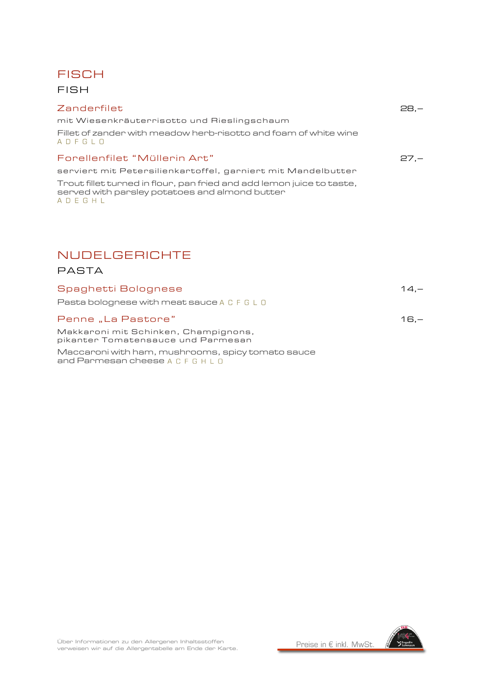

FISH

#### Zanderfilet 28,–

mit Wiesenkräuterrisotto und Rieslingschaum

Fillet of zander with meadow herb-risotto and foam of white wine  $A \cup F \cup D$ 

#### Forellenfilet "Müllerin Art" 27,–

serviert mit Petersilienkartoffel, garniert mit Mandelbutter Trout fillet turned in flour, pan fried and add lemon juice to taste,

served with parsley potatoes and almond butter  $A \cup E \cup H \cup$ 

# NUDELGERICHTE

#### PASTA

| Spaghetti Bolognese                                                        | $14 -$ |
|----------------------------------------------------------------------------|--------|
| Pasta bolognese with meat sauce A C F G L O                                |        |
| Penne "La Pastore"                                                         | $16 -$ |
| Makkaroni mit Schinken, Champignons,<br>pikanter Tomatensauce und Parmesan |        |

Maccaroni with ham, mushrooms, spicy tomato sauce and Parmesan cheese A C F G H L O

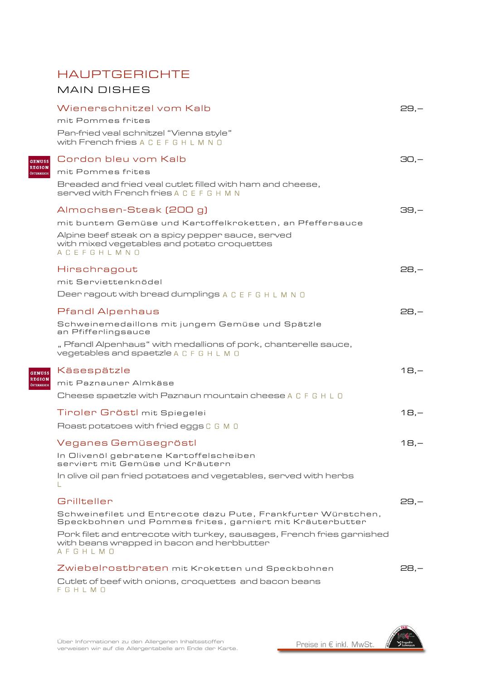# HAUPTGERICHTE

MAIN DISHES

|                             | Wienerschnitzel vom Kalb<br>mit Pommes frites                                                                                   | $29 -$  |
|-----------------------------|---------------------------------------------------------------------------------------------------------------------------------|---------|
|                             | Pan-fried veal schnitzel "Vienna style"<br>with French fries A C E F G H L M N O                                                |         |
| <b>GENUSS</b>               | Cordon bleu vom Kalb                                                                                                            | $30,-$  |
| <b>REGION</b><br>ÖSTERREICH | mit Pommes frites                                                                                                               |         |
|                             | Breaded and fried veal cutlet filled with ham and cheese,<br><b>served with French fries A C E F G H M N</b>                    |         |
|                             | Almochsen-Steak (200 g)                                                                                                         | 39.—    |
|                             | mit buntem Gemüse und Kartoffelkroketten, an Pfeffersauce                                                                       |         |
|                             | Alpine beef steak on a spicy pepper sauce, served<br>with mixed vegetables and potato croquettes<br>ACEFGHLMNO                  |         |
|                             | Hirschragout                                                                                                                    | $28,-$  |
|                             | mit Serviettenknödel                                                                                                            |         |
|                             | Deer ragout with bread dumplings A C E F G H L M N O                                                                            |         |
|                             | <b>Pfandl Alpenhaus</b>                                                                                                         | $28, -$ |
|                             | Schweinemedaillons mit jungem Gemüse und Spätzle<br>an Pfifferlingsauce                                                         |         |
|                             | " Pfandl Alpenhaus" with medallions of pork, chanterelle sauce,<br>vegetables and spaetzle A C F G H L M O                      |         |
| <b>GENUSS</b>               | Käsespätzle                                                                                                                     | $18 -$  |
| <b>REGION</b><br>ÖSTERREICH | mit Paznauner Almkäse                                                                                                           |         |
|                             | Cheese spaetzle with Paznaun mountain cheese A C F G H L O                                                                      |         |
|                             | Tinolen Gröstl mit Spiegelei                                                                                                    | $18,-$  |
|                             | Roast potatoes with fried eggs C G M 0                                                                                          |         |
|                             | Veganes Gemüsegröstl                                                                                                            | $18,-$  |
|                             | In Olivenöl gebratene Kartoffelscheiben<br>serviert mit Gemüse und Kräutern                                                     |         |
|                             | In olive oil pan fried potatoes and vegetables, served with herbs                                                               |         |
|                             | Grillteller                                                                                                                     | $29 -$  |
|                             | Schweinefilet und Entrecote dazu Pute, Frankfurter Würstchen,<br>Speckbohnen und Pommes frites, garniert mit Kräuterbutter      |         |
|                             | Pork filet and entrecote with turkey, sausages, French fries garnished<br>with beans wrapped in bacon and herbbutter<br>AFGHLMO |         |
|                             | Zwiebelrostbraten mit Kroketten und Speckbohnen                                                                                 | 28.—    |
|                             | Cutlet of beef with onions, croquettes and bacon beans<br>FGHLMO                                                                |         |

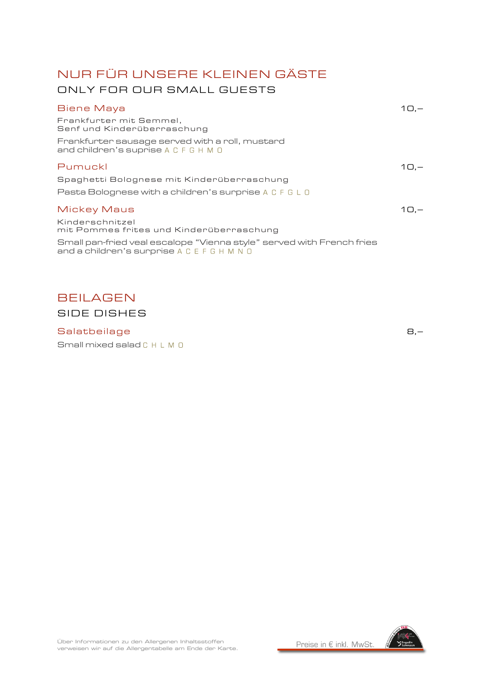# NUR FÜR UNSERE KLEINEN GÄSTE ONLY FOR OUR SMALL GUESTS

| Biene Maya                                                                                                           |          |
|----------------------------------------------------------------------------------------------------------------------|----------|
| Frankfurter mit Semmel,<br>Senf und Kinderüberraschung                                                               |          |
| Frankfurter sausage served with a roll, mustard<br>and children's suprise A C F G H M O                              |          |
| Pumuckl                                                                                                              | $1(1)$ . |
| Spaghetti Bolognese mit Kinderüberraschung                                                                           |          |
| Pasta Bolognese with a children's surprise A C F G L O                                                               |          |
| Mickey Maus                                                                                                          | $10. -$  |
| Kinderschnitzel<br>mit Pommes frites und Kinderüberraschung                                                          |          |
| Small pan-fried veal escalope "Vienna style" served with French fries<br>and a children's surprise A C E F G H M N O |          |
|                                                                                                                      |          |

# BEILAGEN SIDE DISHES

#### Salatbeilage 8,–

Small mixed salad C H L M 0

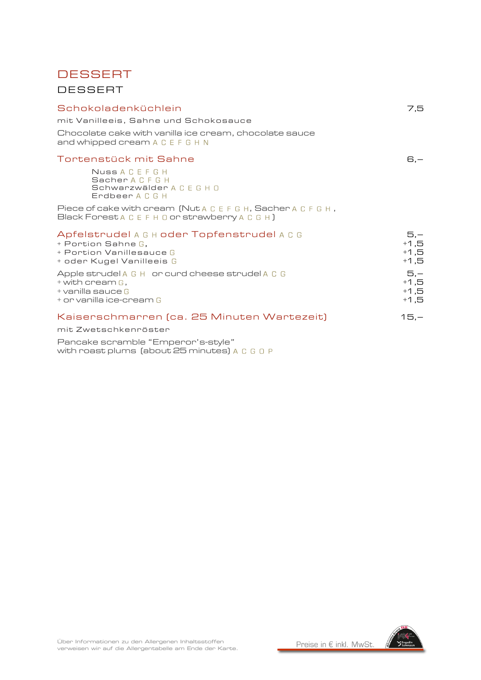# **DESSERT** DESSERT

| Schokoladenküchlein                                                                                                          | 7,5                                 |
|------------------------------------------------------------------------------------------------------------------------------|-------------------------------------|
| mit Vanilleeis, Sahne und Schokosauce                                                                                        |                                     |
| Chocolate cake with vanilla ice cream, chocolate sauce<br>and whipped cream A C E F G H N                                    |                                     |
| Tortenstück mit Sahne                                                                                                        | $G -$                               |
| Nuss A C E F G H<br>Sacher A C F G H<br>Schwarzwälder A C E G H O<br>Erdbeer A C G H                                         |                                     |
| Piece of cake with cream (Nut A C E F G H, Sacher A C F G H,<br>Black Forest A C E F H O or strawberry A C G H ]             |                                     |
| Apfelstrudel A G H oder Topfenstrudel A C G<br>$+$ Portion Sahne G,<br>+ Portion Vanillesauce G<br>+ oder Kugel Vanilleeis G | 5,—<br>$+1,5$<br>$+1,5$<br>$+1.5$   |
| Apple strudel A G H or curd cheese strudel A C G<br>$+$ with cream $G$ .<br>$+$ vanilla sauce G<br>+ or vanilla ice-cream G  | $5,-$<br>$+1,5$<br>$+1,5$<br>$+1,5$ |
| Kaiserschmarren (ca. 25 Minuten Wartezeit)<br>mit Zwetschkenröster                                                           | $15,-$                              |
| Pancake scramble "Emperor's-style"                                                                                           |                                     |

with roast plums (about 25 minutes)

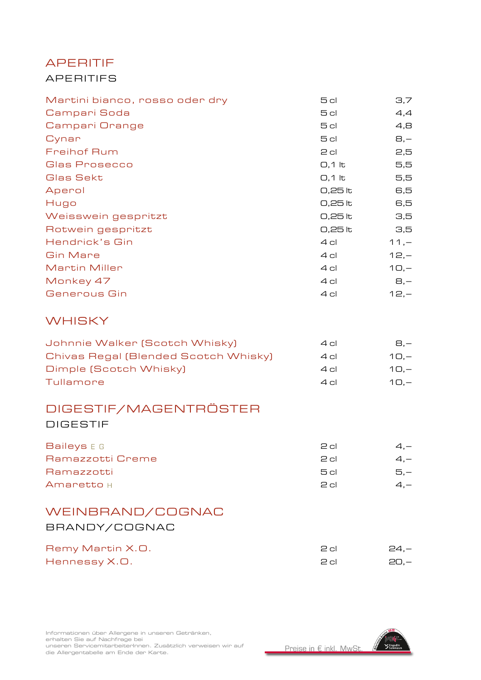# APERITIF APERITIFS

| Martini bianco, rosso oder dry | 5 cl      | 3,7            |
|--------------------------------|-----------|----------------|
| Campari Soda                   | 5 cl      | 4,4            |
| Campari Orange                 | 5 cl      | 4,8            |
| Cynar                          | 5 cl      | $\Theta$ , $-$ |
| <b>Freihof Rum</b>             | $2$ cl    | 2,5            |
| Glas Prosecco                  | $O,1$ lt  | 5,5            |
| Glas Sekt                      | $0,1$ lt  | 5,5            |
| Aperol                         | 0,25 lt   | 6,5            |
| Hugo                           | 0,25 lt   | 6,5            |
| Weisswein gespritzt            | 0,25 lt   | 3,5            |
| Rotwein gespritzt              | $0,25$ to | 3,5            |
| Hendrick's Gin                 | $4$ cl    | $11, -$        |
| <b>Gin Mare</b>                | $4$ cl    | $12, -$        |
| <b>Martin Miller</b>           | 4 cl      | $10, -$        |
| Monkey 47                      | 4 cl      | $B, -$         |
| Generous Gin                   | 4 cl      | $12, -$        |
|                                |           |                |
|                                |           |                |

### **WHISKY**

| Johnnie Walker (Scotch Whisky)       | $4$ cl      | $B -$   |
|--------------------------------------|-------------|---------|
| Chivas Regal (Blended Scotch Whisky) | $4$ cl      | $10. -$ |
| Dimple (Scotch Whisky)               | $4$ cl      | $10 -$  |
| Tullamore                            | $\Delta$ el | $10. -$ |

### DIGESTIF/MAGENTRÖSTER

DIGESTIF

| Baileys E G      | P cl | $4 -$ |
|------------------|------|-------|
| Ramazzotti Creme | P cl | $4 -$ |
| Ramazzotti       | 5 cl | $5 -$ |
| Amaretto H       | P cl | 4 —   |

### WEINBRAND/COGNAC BRANDY/COGNAC

| Remy Martin X.O. | P cl | - 24.— |
|------------------|------|--------|
| Hennessy X.O.    | P cl | - 20.— |

Informationen über Allergene in unseren Getränken,<br>erhalten Sie auf Nachfrage bei erhalten Sie auf Nachfrage bei unseren ServicemitarbeiterInnen. Zusätzlich verweisen wir auf die Allergentabelle am Ende der Karte.



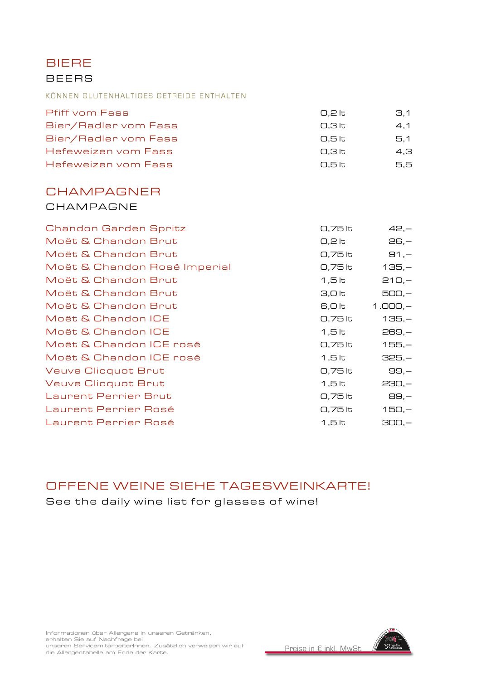BIERE **BEERS** 

#### KÖNNEN GLUTENHALTIGES GETREIDE ENTHALTEN

| 0.2 lt | 3.1 |
|--------|-----|
| 0.3 lt | 4.1 |
| 0.5 lt | 5.1 |
| 0.3 lt | 4.3 |
| 0.5 lt | 5.5 |
|        |     |

#### **CHAMPAGNER** CHAMPAGNE

| Chandon Garden Spritz        | 0,75 lt            | $42,-$    |
|------------------------------|--------------------|-----------|
| Moët & Chandon Brut          | $0,2$ lt           | $26, -$   |
| Moët & Chandon Brut          | 0,75 lt            | $91, -$   |
| Moët & Chandon Rosé Imperial | 0,75 lt            | $135,-$   |
| Moët & Chandon Brut          | $1,5$ lt           | $210,-$   |
| Moët & Chandon Brut          | 3,0 <sub>lt</sub>  | $500,-$   |
| Moët & Chandon Brut          | 6,0 lt             | $1.000,-$ |
| Moët & Chandon ICE           | 0,75 lt            | $135,-$   |
| Moët & Chandon ICE           | 1,5 lt             | $269, -$  |
| Moët & Chandon ICE rosé      | 0,75 lt            | $155,-$   |
| Moët & Chandon ICE rosé      | $1,5$ lt           | $325,-$   |
| <b>Veuve Clicquot Brut</b>   | 0,75 lt            | $99, -$   |
| <b>Veuve Clicquot Brut</b>   | 1,5 lt             | $230,-$   |
| <b>Laurent Perrier Brut</b>  | 0,75 lt            | 89,-      |
| Laurent Perrier Rosé         | 0,75 lt            | $150,-$   |
| Laurent Perrier Rosé         | 1,5 $\overline{t}$ | $300,-$   |

# OFFENE WEINE SIEHE TAGESWEINKARTE!

See the daily wine list for glasses of wine!

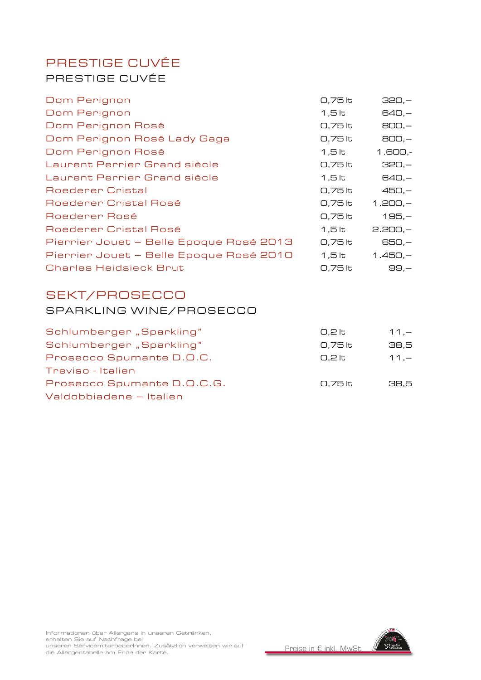# PRESTIGE CUVÉE PRESTIGE CUVÉE

| Dom Perignon                            | 0,75 lt | $320,-$   |
|-----------------------------------------|---------|-----------|
| Dom Perignon                            | 1,5 lt  | $640,-$   |
| Dom Perignon Rosé                       | 0,75 lt | $BOD, -$  |
| Dom Perignon Rosé Lady Gaga             | 0,75 lt | $BOD, -$  |
| Dom Perignon Rosé                       | 1,5 lt  | $1.600,-$ |
| Laurent Perrier Grand siècle            | 0,75 lt | $320,-$   |
| Laurent Perrier Grand siècle            | 1,5 lt  | $640,-$   |
| Roederer Cristal                        | 0,75 lt | $450,-$   |
| Roederer Cristal Rosé                   | 0,75 lt | $1.200,-$ |
| Roederer Rosé                           | 0,75 lt | $195,-$   |
| Roederer Cristal Rosé                   | 1,5 lt  | $2.200,-$ |
| Pierrier Jouet - Belle Epoque Rosé 2013 | 0,75 lt | 650,—     |
| Pierrier Jouet – Belle Epoque Rosé 2010 | 1,5 lt  | $1.450,-$ |
| <b>Charles Heidsieck Brut</b>           | 0,75 lt | $99, -$   |
| SEKT/PROSECCO                           |         |           |

# SPARKLING WINE/PROSECCO

| Schlumberger "Sparkling"   | 0.2 lt   | $11 -$ |
|----------------------------|----------|--------|
| Schlumberger "Sparkling"   | 0.75 lt  | 38.5   |
| Prosecco Spumante D.O.C.   | $0.2$ to | $11 -$ |
| Treviso - Italien          |          |        |
| Prosecco Spumante D.O.C.G. | 0.75 lt  | 38.5   |
| Valdobbiadene – Italien    |          |        |
|                            |          |        |

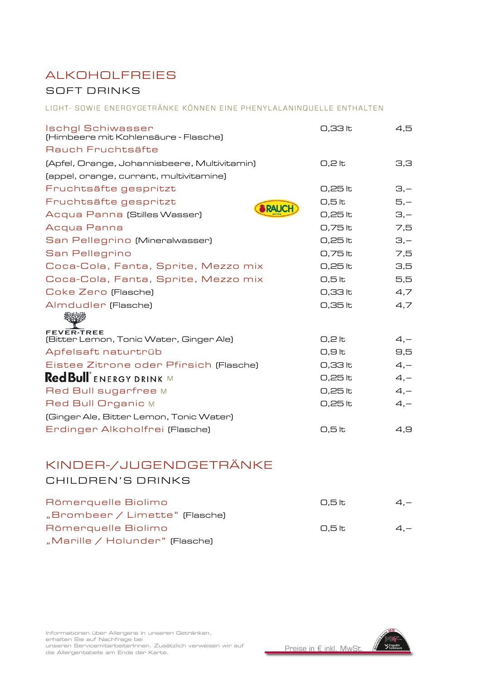# ALKOHOLFREIES SOFT DRINKS

#### LIGHT- SOWIE ENERGYGETRÄNKE KÖNNEN EINE PHENYLALANINQUELLE ENTHALTEN

| <b>Ischgl Schiwasser</b><br>(Himbeere mit Kohlensäure - Flasche) | 0,33 lt             | 4,5      |
|------------------------------------------------------------------|---------------------|----------|
| Rauch Fruchtsäfte                                                |                     |          |
| [Apfel, Orange, Johannisbeere, Multivitamin]                     | $0,2$ lt            | 3,3      |
| (appel, orange, currant, multivitamine)                          |                     |          |
| Fruchtsäfte gespritzt                                            | 0,25 lt             | $\Xi$ ,- |
| Fruchtsäfte gespritzt                                            | $0,5$ <sub>lt</sub> | $5,-$    |
| <b>RAUC</b><br>Acqua Panna (Stilles Wasser)                      | 0,25 lt             | $\Xi$ ,- |
| Acqua Panna                                                      | 0,75 lt             | 7,5      |
| San Pellegrino (Mineralwasser)                                   | 0,25 lt             | $\Xi$ ,- |
| San Pellegrino                                                   | 0,75 lt             | 7,5      |
| Coca-Cola, Fanta, Sprite, Mezzo mix                              | 0,25 lt             | 3,5      |
| Coca-Cola, Fanta, Sprite, Mezzo mix                              | $0,5$ <sub>k</sub>  | 5,5      |
| Coke Zero (Flasche)                                              | 0,33 lt             | 4,7      |
| Almdudler (Flasche)                                              | 0,35 lt             | 4,7      |
| <b>FEVER-TREE</b><br>(Bitter Lemon, Tonic Water, Ginger Ale)     | $0,2$ lt            | $4, -$   |
| Apfelsaft naturtrüb                                              | 0,9 lt              | 9,5      |
| Eistee Zitrone oder Pfirsich (Flasche)                           | 0,33 lt             | $4, -$   |
| Red Bull ENERGY DRINK M                                          | 0,25 lt             | $4, -$   |
| Red Bull sugarfree M                                             | 0,25 lt             | $4, -$   |
| Red Bull Organic M                                               | 0,25 lt             | $4, -$   |
| (Ginger Ale, Bitter Lemon, Tonic Water)                          |                     |          |
| Erdinger Alkoholfrei (Flasche)                                   | $0,5$ <sub>lt</sub> | 4,9      |

# KINDER-/JUGENDGETRÄNKE

#### CHILDREN'S DRINKS

| Römerguelle Biolimo            | 0.5 lt | $4 -$ |
|--------------------------------|--------|-------|
| "Brombeer / Limette" (Flasche) |        |       |
| Römerguelle Biolimo            | 0.5 lt | $4 -$ |
| "Marille / Holunder" (Flasche) |        |       |

Informationen über Allergene in unseren Getränken,<br>erhalten Sie auf Nachfrage bei erhalten Sie auf Nachfrage bei unseren ServicemitarbeiterInnen. Zusätzlich verweisen wir auf die Allergentabelle am Ende der Karte.

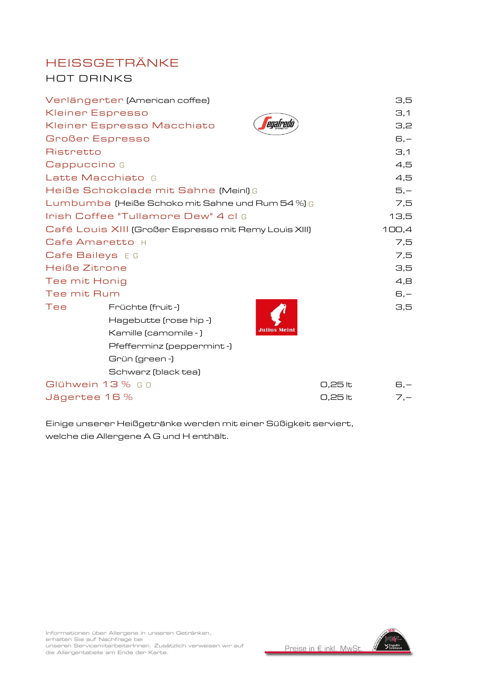# HEISSGETRÄNKE HOT DRINKS

|               | Verlängerter (American coffee)                        |                     | 3,5       |
|---------------|-------------------------------------------------------|---------------------|-----------|
|               | <b>Kleiner Espresso</b>                               |                     | $\Xi$ , 1 |
|               | Kleiner Espresso Macchiato                            | egafredo            | 3,2       |
|               | <b>Großer Espresso</b>                                |                     | $G -$     |
| Ristretto     |                                                       |                     | $\Xi$ , 1 |
| Cappuccino G  |                                                       |                     | 4,5       |
|               | Latte Macchiato G                                     |                     | 4,5       |
|               | Heiße Schokolade mit Sahne (Meinl) G                  |                     | $5,-$     |
|               | Lumbumba (Heiße Schoko mit Sahne und Rum 54 %) G      |                     | 7,5       |
|               | Irish Coffee "Tullamore Dew" 4 cl G                   |                     | 13,5      |
|               | Café Louis XIII (Großer Espresso mit Remy Louis XIII) |                     | 100,4     |
|               | Cafe Amaretto H                                       |                     | 7,5       |
|               | Cafe Baileys EG                                       |                     | 7,5       |
| Heiße Zitrone |                                                       |                     | 3,5       |
| Tee mit Honig |                                                       |                     | 4,8       |
| Tee mit Rum   |                                                       |                     | $G, -$    |
| Tee           | Früchte (fruit-)                                      |                     | 3,5       |
|               | Hagebutte (rose hip -)                                |                     |           |
|               | Kamille (camomile -)                                  | <b>Julius Meinl</b> |           |
|               | Pfefferminz (peppermint-)                             |                     |           |
|               | Grün (green -)                                        |                     |           |
|               | Schwarz (black tea)                                   |                     |           |
|               | Glühwein 13 % GO                                      | 0,25 lt             | $G, -$    |
|               | Jägertee 16 %                                         | 0,25 lt             | $7, -$    |

Einige unserer Heißgetränke werden mit einer Süßigkeit serviert, welche die Allergene A G und H enthält.

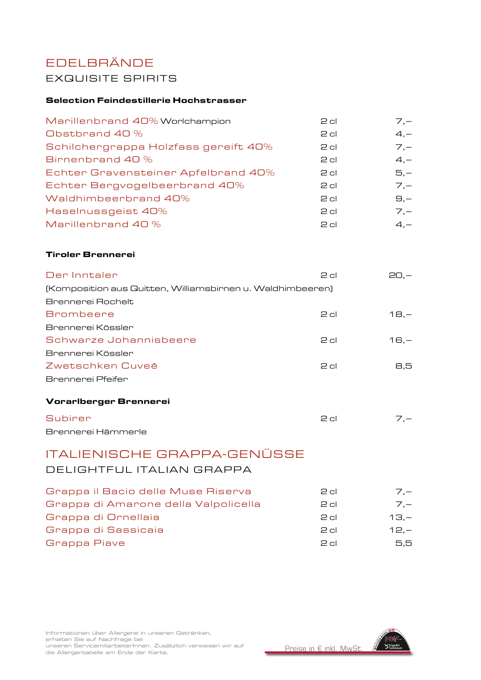### EDELBRÄNDE EXQUISITE SPIRITS

#### Selection Feindestillerie Hochstrasser

| Marillenbrand 40% Worlchampion       | $2$ cl | $7 -$          |
|--------------------------------------|--------|----------------|
| Obstbrand 40 %                       | $2$ cl | $4, -$         |
| Schilchergrappa Holzfass gereift 40% | $2$ cl | $7 -$          |
| Birnenbrand 40 %                     | $2$ cl | $4, -$         |
| Echter Gravensteiner Apfelbrand 40%  | $2$ cl | $5,-$          |
| Echter Bergvogelbeerbrand 40%        | $2$ cl | $7 -$          |
| Waldhimbeerbrand 40%                 | $2$ cl | $\Theta$ , $-$ |
| Haselnussgeist 40%                   | $2$ cl | $7 -$          |
| Marillenbrand 40 %                   | $2$ cl | $4 -$          |
|                                      |        |                |

#### Tiroler Brennerei

| Vorarlberger Brennerei                                     |        |        |
|------------------------------------------------------------|--------|--------|
| Brennerei Pfeifer                                          |        |        |
| Zwetschken Cuveé                                           | $2$ cl | 8.5    |
| Brennerei Kössler                                          |        |        |
| Schwarze Johannisbeere                                     | $2$ cl | $16 -$ |
| Brennerei Kössler                                          |        |        |
| <b>Brombeere</b>                                           | $2$ cl | $18 -$ |
| Brennerei Rochelt                                          |        |        |
| (Komposition aus Quitten, Williamsbirnen u. Waldhimbeeren) |        |        |
| Der Inntaler                                               | $2$ cl | $20 -$ |

| Subirer            | P cl | $7 -$ |
|--------------------|------|-------|
| Brennerei Hämmerle |      |       |

# ITALIENISCHE GRAPPA-GENÜSSE DELIGHTFUL ITALIAN GRAPPA

| Grappa il Bacio delle Muse Riserva   | $2$ cl          | $7 -$   |
|--------------------------------------|-----------------|---------|
| Grappa di Amarone della Valpolicella | $2$ cl          | $7 -$   |
| Grappa di Ornellaia                  | P cl            | $13 -$  |
| Grappa di Sassicaia                  | P <sub>cl</sub> | $12. -$ |
| Grappa Piave                         | اہ ح            | 5.5     |

Informationen über Allergene in unseren Getränken,<br>erhalten Sie auf Nachfrage bei erhalten Sie auf Nachfrage bei unseren ServicemitarbeiterInnen. Zusätzlich verweisen wir auf die Allergentabelle am Ende der Karte.

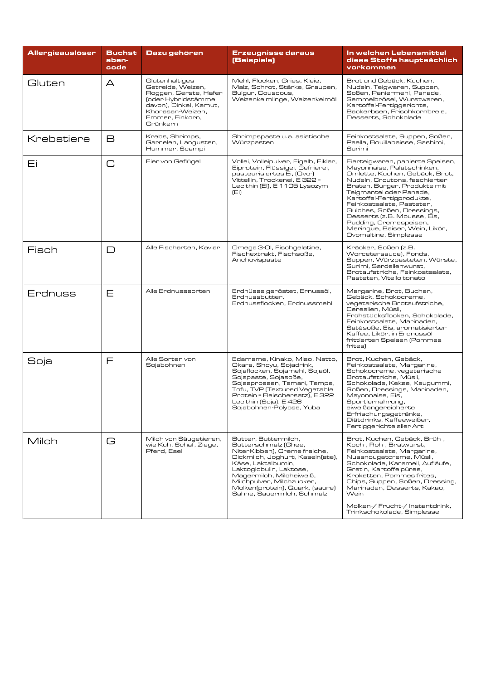| <b>Allergieauslöser</b> | <b>Buchst</b><br>aben-<br>code | Dazu gehören                                                                                                                                                    | Erzeugnisse daraus<br>(Beispiele)                                                                                                                                                                                                                                                           | In welchen Lebensmittel<br>diese Stoffe hauptsächlich<br>vorkommen                                                                                                                                                                                                                                                                                                                                       |
|-------------------------|--------------------------------|-----------------------------------------------------------------------------------------------------------------------------------------------------------------|---------------------------------------------------------------------------------------------------------------------------------------------------------------------------------------------------------------------------------------------------------------------------------------------|----------------------------------------------------------------------------------------------------------------------------------------------------------------------------------------------------------------------------------------------------------------------------------------------------------------------------------------------------------------------------------------------------------|
| Gluten                  | A                              | Glutenhaltiges<br>Getreide, Weizen,<br>Roggen, Gerste, Hafer<br>(oder Hybridstämme<br>davon), Dinkel, Kamut,<br>Khorasan-Weizen,<br>Emmer, Einkorn,<br>Grünkern | Mehl, Flocken, Gries, Kleie,<br>Malz, Schrot, Stärke, Graupen,<br>Bulgur, Couscous,<br>Weizenkeimlinge, Weizenkeimöl                                                                                                                                                                        | Brot und Gebäck, Kuchen,<br>Nudeln, Teigwaren, Suppen,<br>Soßen, Paniermehl, Panade,<br>Semmelbrösel, Wurstwaren,<br>Kartoffel-Fertiggerichte,<br>Backerbsen, Frischkornbreie,<br>Desserts, Schokolade                                                                                                                                                                                                   |
| Krebstiere              | B                              | Krebs, Shrimps,<br>Garnelen, Langusten,<br>Hummer, Scampi                                                                                                       | Shrimpspaste u.a. asiatische<br>Würzpasten                                                                                                                                                                                                                                                  | Feinkostsalate, Suppen, Soßen,<br>Paella, Bouillabaisse, Sashimi,<br>Surimi                                                                                                                                                                                                                                                                                                                              |
| Εi                      | $\Box$                         | Eier von Geflügel                                                                                                                                               | Vollei, Volleipulver, Eigelb, Eiklar,<br>Eiprotein, Flüssigei, Gefrierei,<br>pasteurisiertes Ei, (Ovo-)<br>Vittellin, Trockenei, E 322 =<br>Lecithin (EI), E 1105 Lysozym<br>(Ei)                                                                                                           | Eierteigwaren, panierte Speisen,<br>Mayonnaise, Palatschinken,<br>Omlette, Kuchen, Gebäck, Brot,<br>Nudeln, Croutons, faschierter<br>Braten, Burger, Produkte mit<br>Teigmantel oder Panade,<br>Kartoffel-Fertigprodukte,<br>Feinkostsalate, Pasteten,<br>Quiches, Soßen, Dressings,<br>Desserts (z.B. Mousse, Eis,<br>Pudding, Cremespeisen,<br>Meringue, Baiser, Wein, Likör,<br>Ovomaltine, Simplesse |
| Fisch                   | $\Box$                         | Alle Fischarten, Kaviar                                                                                                                                         | Omega 3-ÖI, Fischgelatine,<br>Fischextrakt, Fischsoße,<br>Anchovispaste                                                                                                                                                                                                                     | Kräcker, Soßen (z.B.<br>Worcetersauce), Fonds,<br>Suppen, Würzpasteten, Würste,<br>Surimi, Sardellenwurst,<br>Brotaufstriche, Feinkostsalate,<br>Pasteten, Vitello tonato                                                                                                                                                                                                                                |
| Erdnuss                 | Ε                              | Alle Erdnusssorten                                                                                                                                              | Erdnüsse geröstet, Ernussöl,<br>Erdnussbutter,<br>Erdnussflocken, Erdnussmehl                                                                                                                                                                                                               | Margarine, Brot, Buchen,<br>Gebäck, Schokocreme,<br>vegetarische Brotaufstriche,<br>Cerealien, Müsli,<br>Frühstücksflocken, Schokolade,<br>Feinkostsalate, Marinaden,<br>Satésoße, Eis, aromatisierter<br>Kaffee, Likör, in Erdnussöl<br>frittierten Speisen (Pommes<br>frites)                                                                                                                          |
| Soja                    | F                              | Alle Sorten von<br>Sojabohnen                                                                                                                                   | Edamame, Kinako, Miso, Natto,<br>Okara, Shoyu, Sojadrink,<br>Sojaflocken, Sojamehl, Sojaöl,<br>Sojapaste, Sojasoße,<br>Sojasprossen, Tamari, Tempe,<br>Tofu, TVP (Textured Vegetable<br>Protein = Fleischersatz), E 322<br>Lecithin (Soja), E 426<br>Sojabohnen-Polyose, Yuba               | Brot, Kuchen, Gebäck,<br>Feinkostsalate, Margarine,<br>Schokocreme, vegetarische<br>Brotaufstriche, Müsli,<br>Schokolade, Kekse, Kaugummi,<br>Soßen, Dressings, Marinaden,<br>Mayonnaise, Eis,<br>Sportlernahrung,<br>eiweißangereicherte<br>Erfrischungsgetränke,<br>Diätdrinks, Kaffeeweißer,<br>Fertiggerichte aller Art                                                                              |
| Milch                   | G                              | Milch von Säugetieren,<br>wie Kuh, Schaf, Ziege,<br>Pferd, Esel                                                                                                 | Butter, Buttermilch,<br>Butterschmalz (Ghee,<br>NiterKibbeh), Creme fraiche,<br>Dickmilch, Joghurt, Kasein(ate),<br>Käse, Laktalbumin,<br>Laktoglobulin, Laktose,<br>Magermilch, Milcheiweiß,<br>Milchpulver, Milchzucker,<br>Molken(protein), Quark, (saure)<br>Sahne, Sauermilch, Schmalz | Brot, Kuchen, Gebäck, Brüh-,<br>Koch-, Roh-, Bratwurst,<br>Feinkostsalate, Margarine,<br>Nussnougatcreme, Müsli,<br>Schokolade, Karamell, Aufläufe,<br>Gratin, Kartoffelpüree,<br>Kroketten, Pommes frites,<br>Chips, Suppen, Soßen, Dressing,<br>Marinaden, Desserts, Kakao,<br><b>Wein</b><br>Molken-/ Frucht-/ Instantdrink,<br>Trinkschokolade, Simplesse                                            |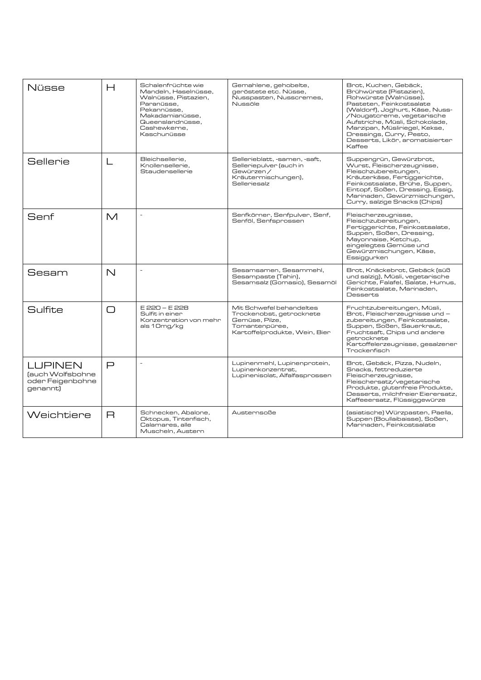| Nüsse                                                              | $\mathsf{H}$ | Schalenfrüchte wie<br>Mandeln, Haselnüsse,<br>Walnüsse, Pistazien,<br>Paranüsse.<br>Pekannüsse.<br>Makadamianüsse.<br>Queenslandnüsse.<br>Cashewkerne,<br>Kaschunüsse | Gemahlene, gehobelte,<br>geröstete etc. Nüsse,<br>Nusspasten, Nusscremes,<br>Nussöle                                      | Brot, Kuchen, Gebäck,<br>Brühwürste (Pistazien).<br>Rohwürste (Walnüsse),<br>Pasteten, Feinkostsalate<br>(Waldorf), Joghurt, Käse, Nuss-<br>/Nougatcreme, vegetarische<br>Aufstriche, Müsli, Schokolade,<br>Marzipan, Müsliriegel, Kekse,<br>Dressings, Curry, Pesto,<br>Desserts, Likör, aromatisierter<br>Kaffee |
|--------------------------------------------------------------------|--------------|-----------------------------------------------------------------------------------------------------------------------------------------------------------------------|---------------------------------------------------------------------------------------------------------------------------|--------------------------------------------------------------------------------------------------------------------------------------------------------------------------------------------------------------------------------------------------------------------------------------------------------------------|
| Sellerie                                                           | L            | Bleichsellerie.<br>Knollensellerie.<br>Staudensellerie                                                                                                                | Sellerieblatt, -samen, -saft,<br>Selleriepulver (auch in<br>Gewürzen /<br>Kräutermischungen),<br>Selleriesalz             | Suppengrün, Gewürzbrot,<br>Wurst, Fleischerzeugnisse,<br>Fleischzubereitungen,<br>Kräuterkäse, Fertiggerichte,<br>Feinkostsalate, Brühe, Suppen,<br>Eintopf, Soßen, Dressing, Essig,<br>Marinaden, Gewürzmischungen,<br>Curry, salzige Snacks (Chips)                                                              |
| Senf                                                               | $\mathsf{M}$ | L,                                                                                                                                                                    | Senfkörner, Senfpulver, Senf,<br>Senföl, Senfsprossen                                                                     | Fleischerzeugnisse,<br>Fleischzubereitungen,<br>Fertiggerichte, Feinkostsalate,<br>Suppen, Soßen, Dressing,<br>Mayonnaise, Ketchup,<br>eingelegtes Gemüse und<br>Gewürzmischungen, Käse,<br>Essiggurken                                                                                                            |
| Sesam                                                              | $\mathbb N$  |                                                                                                                                                                       | Sesamsamen, Sesammehl,<br>Sesampaste (Tahin),<br>Sesamsalz (Gomasio), Sesamöl                                             | Brot, Knäckebrot, Gebäck (süß<br>und salzig), Müsli, vegetarische<br>Gerichte, Falafel, Salate, Humus,<br>Feinkostsalate, Marinaden,<br>Desserts                                                                                                                                                                   |
| Sulfite                                                            | $\bigcap$    | E 220 - E 228<br>Sulfit in einer<br>Konzentration von mehr<br>als 10mg/kg                                                                                             | Mit Schwefel behandeltes<br>Trockenobst, getrocknete<br>Gemüse, Pilze,<br>Tomantenpüree,<br>Kartoffelprodukte, Wein, Bier | Fruchtzubereitungen, Müsli,<br>Brot, Fleischerzeugnisse und -<br>zubereitungen, Feinkostsalate,<br>Suppen, Soßen, Sauerkraut,<br>Fruchtsaft, Chips und andere<br>aetrocknete<br>Kartoffelerzeugnisse, gesalzener<br>Trockenfisch                                                                                   |
| <b>LUPINEN</b><br>(auch Wolfsbohne<br>oder Feigenbohne<br>genannt) | $\Box$       | $\overline{a}$                                                                                                                                                        | Lupinenmehl, Lupinenprotein,<br>Lupinenkonzentrat,<br>Lupinenisolat, Alfalfasprossen                                      | Brot, Gebäck, Pizza, Nudeln,<br>Snacks, fettreduzierte<br>Fleischerzeugnisse,<br>Fleischersatz/vegetarische<br>Produkte, glutenfreie Produkte.<br>Desserts, milchfreier Eierersatz,<br>Kaffeeersatz, Flüssiggewürze                                                                                                |
| Weichtiere                                                         | $\mathsf{R}$ | Schnecken, Abalone,<br>Oktopus, Tintenfisch,<br>Calamares, alle<br>Muscheln, Austern                                                                                  | Austernsoße                                                                                                               | (asiatische) Würzpasten, Paella,<br>Suppen (Boullaibaisse), Soßen,<br>Marinaden, Feinkostsalate                                                                                                                                                                                                                    |